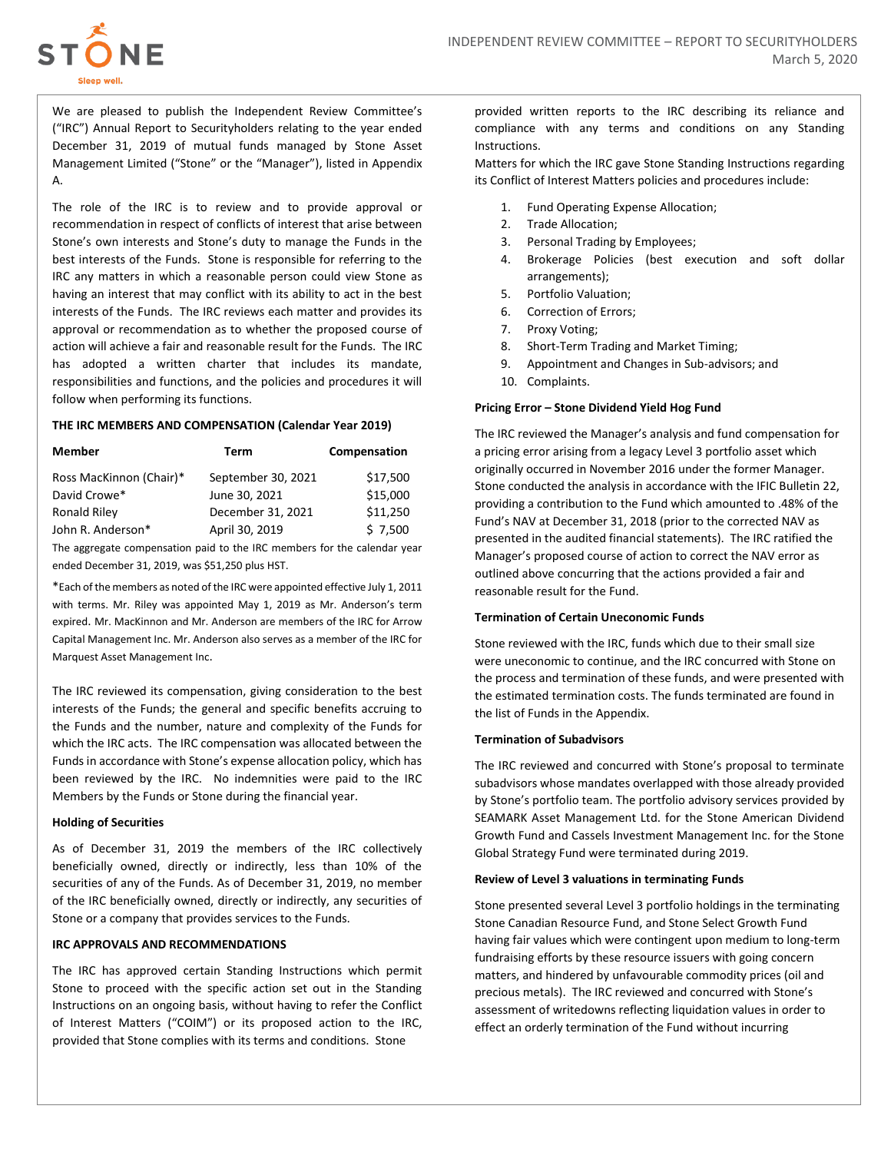

We are pleased to publish the Independent Review Committee's ("IRC") Annual Report to Securityholders relating to the year ended December 31, 2019 of mutual funds managed by Stone Asset Management Limited ("Stone" or the "Manager"), listed in Appendix A.

The role of the IRC is to review and to provide approval or recommendation in respect of conflicts of interest that arise between Stone's own interests and Stone's duty to manage the Funds in the best interests of the Funds. Stone is responsible for referring to the IRC any matters in which a reasonable person could view Stone as having an interest that may conflict with its ability to act in the best interests of the Funds. The IRC reviews each matter and provides its approval or recommendation as to whether the proposed course of action will achieve a fair and reasonable result for the Funds. The IRC has adopted a written charter that includes its mandate, responsibilities and functions, and the policies and procedures it will follow when performing its functions.

#### **THE IRC MEMBERS AND COMPENSATION (Calendar Year 2019)**

| <b>Member</b>           | Term               | Compensation |
|-------------------------|--------------------|--------------|
| Ross MacKinnon (Chair)* | September 30, 2021 | \$17,500     |
| David Crowe*            | June 30, 2021      | \$15,000     |
| <b>Ronald Riley</b>     | December 31, 2021  | \$11,250     |
| John R. Anderson*       | April 30, 2019     | \$7,500      |
|                         |                    |              |

The aggregate compensation paid to the IRC members for the calendar year ended December 31, 2019, was \$51,250 plus HST.

\*Each of the members as noted of the IRC were appointed effective July 1, 2011 with terms. Mr. Riley was appointed May 1, 2019 as Mr. Anderson's term expired. Mr. MacKinnon and Mr. Anderson are members of the IRC for Arrow Capital Management Inc. Mr. Anderson also serves as a member of the IRC for Marquest Asset Management Inc.

The IRC reviewed its compensation, giving consideration to the best interests of the Funds; the general and specific benefits accruing to the Funds and the number, nature and complexity of the Funds for which the IRC acts. The IRC compensation was allocated between the Funds in accordance with Stone's expense allocation policy, which has been reviewed by the IRC. No indemnities were paid to the IRC Members by the Funds or Stone during the financial year.

# **Holding of Securities**

As of December 31, 2019 the members of the IRC collectively beneficially owned, directly or indirectly, less than 10% of the securities of any of the Funds. As of December 31, 2019, no member of the IRC beneficially owned, directly or indirectly, any securities of Stone or a company that provides services to the Funds.

#### **IRC APPROVALS AND RECOMMENDATIONS**

The IRC has approved certain Standing Instructions which permit Stone to proceed with the specific action set out in the Standing Instructions on an ongoing basis, without having to refer the Conflict of Interest Matters ("COIM") or its proposed action to the IRC, provided that Stone complies with its terms and conditions. Stone

provided written reports to the IRC describing its reliance and compliance with any terms and conditions on any Standing Instructions.

Matters for which the IRC gave Stone Standing Instructions regarding its Conflict of Interest Matters policies and procedures include:

- 1. Fund Operating Expense Allocation;
- 2. Trade Allocation;
- 3. Personal Trading by Employees;
- 4. Brokerage Policies (best execution and soft dollar arrangements);
- 5. Portfolio Valuation;
- 6. Correction of Errors;
- 7. Proxy Voting;
- 8. Short-Term Trading and Market Timing;
- 9. Appointment and Changes in Sub-advisors; and
- 10. Complaints.

#### **Pricing Error – Stone Dividend Yield Hog Fund**

The IRC reviewed the Manager's analysis and fund compensation for a pricing error arising from a legacy Level 3 portfolio asset which originally occurred in November 2016 under the former Manager. Stone conducted the analysis in accordance with the IFIC Bulletin 22, providing a contribution to the Fund which amounted to .48% of the Fund's NAV at December 31, 2018 (prior to the corrected NAV as presented in the audited financial statements). The IRC ratified the Manager's proposed course of action to correct the NAV error as outlined above concurring that the actions provided a fair and reasonable result for the Fund.

#### **Termination of Certain Uneconomic Funds**

Stone reviewed with the IRC, funds which due to their small size were uneconomic to continue, and the IRC concurred with Stone on the process and termination of these funds, and were presented with the estimated termination costs. The funds terminated are found in the list of Funds in the Appendix.

#### **Termination of Subadvisors**

The IRC reviewed and concurred with Stone's proposal to terminate subadvisors whose mandates overlapped with those already provided by Stone's portfolio team. The portfolio advisory services provided by SEAMARK Asset Management Ltd. for the Stone American Dividend Growth Fund and Cassels Investment Management Inc. for the Stone Global Strategy Fund were terminated during 2019.

#### **Review of Level 3 valuations in terminating Funds**

Stone presented several Level 3 portfolio holdings in the terminating Stone Canadian Resource Fund, and Stone Select Growth Fund having fair values which were contingent upon medium to long-term fundraising efforts by these resource issuers with going concern matters, and hindered by unfavourable commodity prices (oil and precious metals). The IRC reviewed and concurred with Stone's assessment of writedowns reflecting liquidation values in order to effect an orderly termination of the Fund without incurring